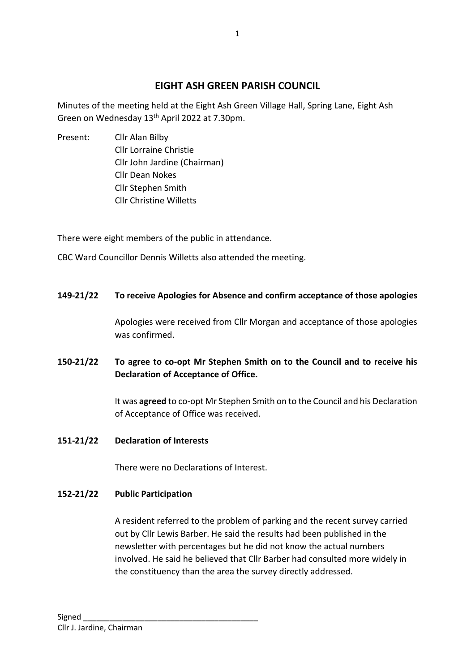# **EIGHT ASH GREEN PARISH COUNCIL**

1

Minutes of the meeting held at the Eight Ash Green Village Hall, Spring Lane, Eight Ash Green on Wednesday 13th April 2022 at 7.30pm.

Present: Cllr Alan Bilby Cllr Lorraine Christie Cllr John Jardine (Chairman) Cllr Dean Nokes Cllr Stephen Smith Cllr Christine Willetts

There were eight members of the public in attendance.

CBC Ward Councillor Dennis Willetts also attended the meeting.

### **149-21/22 To receive Apologies for Absence and confirm acceptance of those apologies**

Apologies were received from Cllr Morgan and acceptance of those apologies was confirmed.

# **150-21/22 To agree to co-opt Mr Stephen Smith on to the Council and to receive his Declaration of Acceptance of Office.**

It was **agreed** to co-opt Mr Stephen Smith on to the Council and his Declaration of Acceptance of Office was received.

### **151-21/22 Declaration of Interests**

There were no Declarations of Interest.

### **152-21/22 Public Participation**

A resident referred to the problem of parking and the recent survey carried out by Cllr Lewis Barber. He said the results had been published in the newsletter with percentages but he did not know the actual numbers involved. He said he believed that Cllr Barber had consulted more widely in the constituency than the area the survey directly addressed.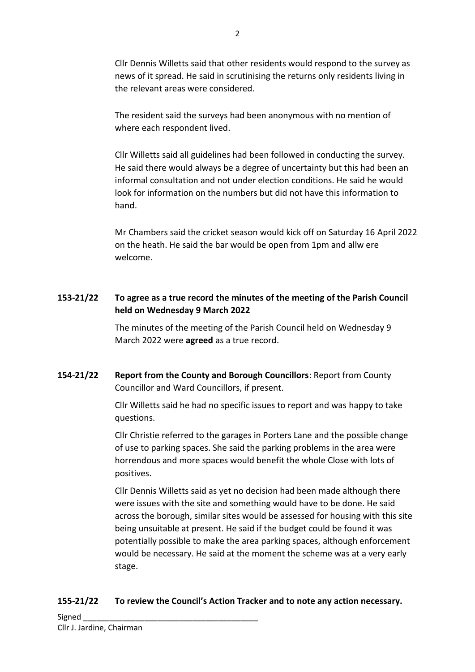Cllr Dennis Willetts said that other residents would respond to the survey as news of it spread. He said in scrutinising the returns only residents living in the relevant areas were considered.

The resident said the surveys had been anonymous with no mention of where each respondent lived.

Cllr Willetts said all guidelines had been followed in conducting the survey. He said there would always be a degree of uncertainty but this had been an informal consultation and not under election conditions. He said he would look for information on the numbers but did not have this information to hand.

Mr Chambers said the cricket season would kick off on Saturday 16 April 2022 on the heath. He said the bar would be open from 1pm and allw ere welcome.

# **153-21/22 To agree as a true record the minutes of the meeting of the Parish Council held on Wednesday 9 March 2022**

The minutes of the meeting of the Parish Council held on Wednesday 9 March 2022 were **agreed** as a true record.

**154-21/22 Report from the County and Borough Councillors**: Report from County Councillor and Ward Councillors, if present.

> Cllr Willetts said he had no specific issues to report and was happy to take questions.

Cllr Christie referred to the garages in Porters Lane and the possible change of use to parking spaces. She said the parking problems in the area were horrendous and more spaces would benefit the whole Close with lots of positives.

Cllr Dennis Willetts said as yet no decision had been made although there were issues with the site and something would have to be done. He said across the borough, similar sites would be assessed for housing with this site being unsuitable at present. He said if the budget could be found it was potentially possible to make the area parking spaces, although enforcement would be necessary. He said at the moment the scheme was at a very early stage.

## **155-21/22 To review the Council's Action Tracker and to note any action necessary.**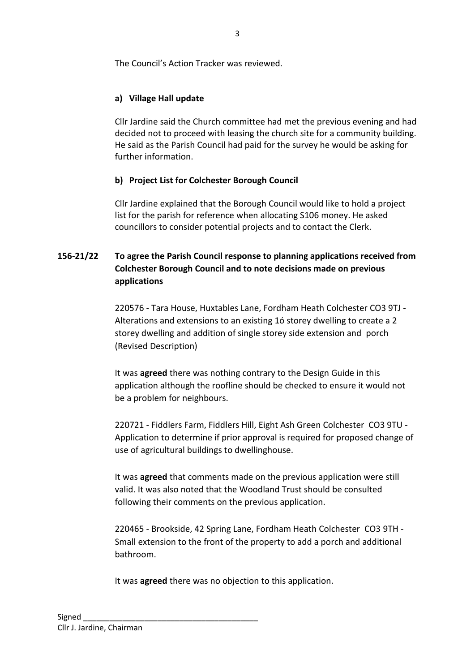The Council's Action Tracker was reviewed.

# **a) Village Hall update**

Cllr Jardine said the Church committee had met the previous evening and had decided not to proceed with leasing the church site for a community building. He said as the Parish Council had paid for the survey he would be asking for further information.

# **b) Project List for Colchester Borough Council**

Cllr Jardine explained that the Borough Council would like to hold a project list for the parish for reference when allocating S106 money. He asked councillors to consider potential projects and to contact the Clerk.

# **156-21/22 To agree the Parish Council response to planning applications received from Colchester Borough Council and to note decisions made on previous applications**

220576 - Tara House, Huxtables Lane, Fordham Heath Colchester CO3 9TJ - Alterations and extensions to an existing 1ó storey dwelling to create a 2 storey dwelling and addition of single storey side extension and porch (Revised Description)

It was **agreed** there was nothing contrary to the Design Guide in this application although the roofline should be checked to ensure it would not be a problem for neighbours.

220721 - Fiddlers Farm, Fiddlers Hill, Eight Ash Green Colchester CO3 9TU - Application to determine if prior approval is required for proposed change of use of agricultural buildings to dwellinghouse.

It was **agreed** that comments made on the previous application were still valid. It was also noted that the Woodland Trust should be consulted following their comments on the previous application.

220465 - Brookside, 42 Spring Lane, Fordham Heath Colchester CO3 9TH - Small extension to the front of the property to add a porch and additional bathroom.

It was **agreed** there was no objection to this application.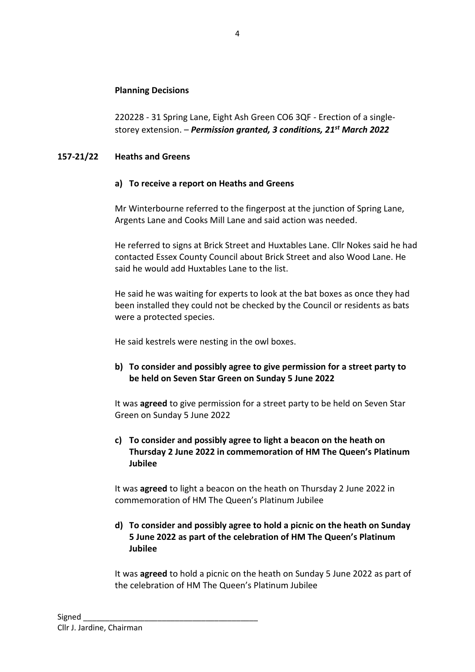#### **Planning Decisions**

220228 - 31 Spring Lane, Eight Ash Green CO6 3QF - Erection of a singlestorey extension. – *Permission granted, 3 conditions, 21st March 2022*

#### **157-21/22 Heaths and Greens**

#### **a) To receive a report on Heaths and Greens**

Mr Winterbourne referred to the fingerpost at the junction of Spring Lane, Argents Lane and Cooks Mill Lane and said action was needed.

He referred to signs at Brick Street and Huxtables Lane. Cllr Nokes said he had contacted Essex County Council about Brick Street and also Wood Lane. He said he would add Huxtables Lane to the list.

He said he was waiting for experts to look at the bat boxes as once they had been installed they could not be checked by the Council or residents as bats were a protected species.

He said kestrels were nesting in the owl boxes.

**b) To consider and possibly agree to give permission for a street party to be held on Seven Star Green on Sunday 5 June 2022**

It was **agreed** to give permission for a street party to be held on Seven Star Green on Sunday 5 June 2022

**c) To consider and possibly agree to light a beacon on the heath on Thursday 2 June 2022 in commemoration of HM The Queen's Platinum Jubilee**

It was **agreed** to light a beacon on the heath on Thursday 2 June 2022 in commemoration of HM The Queen's Platinum Jubilee

### **d) To consider and possibly agree to hold a picnic on the heath on Sunday 5 June 2022 as part of the celebration of HM The Queen's Platinum Jubilee**

It was **agreed** to hold a picnic on the heath on Sunday 5 June 2022 as part of the celebration of HM The Queen's Platinum Jubilee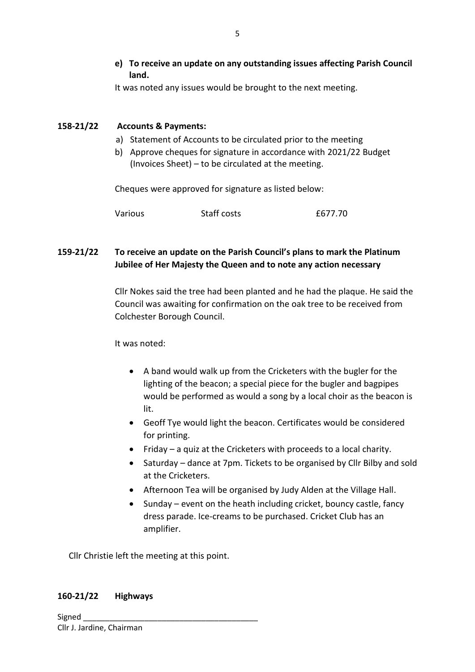**e) To receive an update on any outstanding issues affecting Parish Council land.**

It was noted any issues would be brought to the next meeting.

### **158-21/22 Accounts & Payments:**

- a) Statement of Accounts to be circulated prior to the meeting
- b) Approve cheques for signature in accordance with 2021/22 Budget (Invoices Sheet) – to be circulated at the meeting.

Cheques were approved for signature as listed below:

| Various | Staff costs | £677.70 |
|---------|-------------|---------|
|---------|-------------|---------|

## **159-21/22 To receive an update on the Parish Council's plans to mark the Platinum Jubilee of Her Majesty the Queen and to note any action necessary**

Cllr Nokes said the tree had been planted and he had the plaque. He said the Council was awaiting for confirmation on the oak tree to be received from Colchester Borough Council.

It was noted:

- A band would walk up from the Cricketers with the bugler for the lighting of the beacon; a special piece for the bugler and bagpipes would be performed as would a song by a local choir as the beacon is lit.
- Geoff Tye would light the beacon. Certificates would be considered for printing.
- Friday a quiz at the Cricketers with proceeds to a local charity.
- Saturday dance at 7pm. Tickets to be organised by Cllr Bilby and sold at the Cricketers.
- Afternoon Tea will be organised by Judy Alden at the Village Hall.
- Sunday event on the heath including cricket, bouncy castle, fancy dress parade. Ice-creams to be purchased. Cricket Club has an amplifier.

Cllr Christie left the meeting at this point.

#### **160-21/22 Highways**

Signed Cllr J. Jardine, Chairman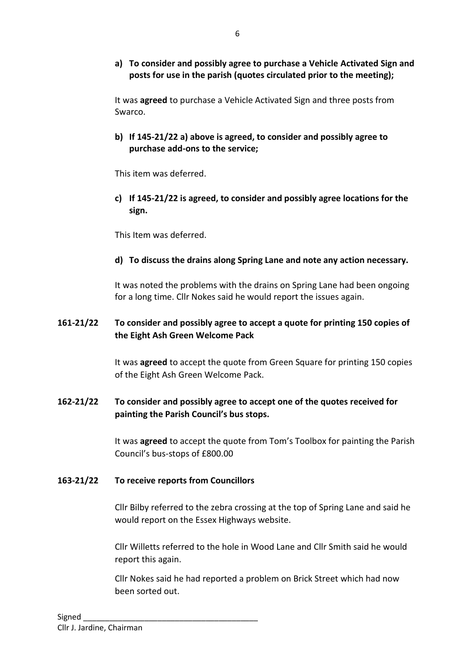**a) To consider and possibly agree to purchase a Vehicle Activated Sign and posts for use in the parish (quotes circulated prior to the meeting);**

It was **agreed** to purchase a Vehicle Activated Sign and three posts from Swarco.

**b) If 145-21/22 a) above is agreed, to consider and possibly agree to purchase add-ons to the service;**

This item was deferred.

**c) If 145-21/22 is agreed, to consider and possibly agree locations for the sign.**

This Item was deferred.

**d) To discuss the drains along Spring Lane and note any action necessary.**

It was noted the problems with the drains on Spring Lane had been ongoing for a long time. Cllr Nokes said he would report the issues again.

### **161-21/22 To consider and possibly agree to accept a quote for printing 150 copies of the Eight Ash Green Welcome Pack**

It was **agreed** to accept the quote from Green Square for printing 150 copies of the Eight Ash Green Welcome Pack.

## **162-21/22 To consider and possibly agree to accept one of the quotes received for painting the Parish Council's bus stops.**

It was **agreed** to accept the quote from Tom's Toolbox for painting the Parish Council's bus-stops of £800.00

### **163-21/22 To receive reports from Councillors**

Cllr Bilby referred to the zebra crossing at the top of Spring Lane and said he would report on the Essex Highways website.

Cllr Willetts referred to the hole in Wood Lane and Cllr Smith said he would report this again.

Cllr Nokes said he had reported a problem on Brick Street which had now been sorted out.

6